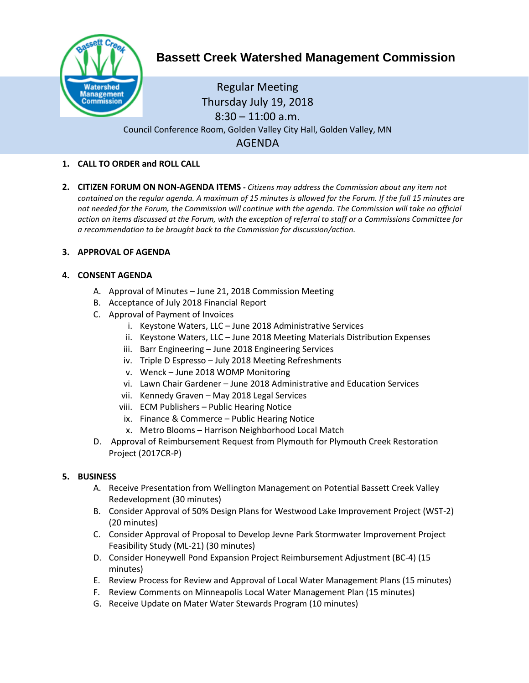

# **Bassett Creek Watershed Management Commission**

Regular Meeting Thursday July 19, 2018  $8:30 - 11:00$  a.m. Council Conference Room, Golden Valley City Hall, Golden Valley, MN AGENDA

# **1. CALL TO ORDER and ROLL CALL**

**2. CITIZEN FORUM ON NON-AGENDA ITEMS -** *Citizens may address the Commission about any item not contained on the regular agenda. A maximum of 15 minutes is allowed for the Forum. If the full 15 minutes are*  not needed for the Forum, the Commission will continue with the agenda. The Commission will take no official *action on items discussed at the Forum, with the exception of referral to staff or a Commissions Committee for a recommendation to be brought back to the Commission for discussion/action.*

## **3. APPROVAL OF AGENDA**

## **4. CONSENT AGENDA**

- A. Approval of Minutes June 21, 2018 Commission Meeting
- B. Acceptance of July 2018 Financial Report
- C. Approval of Payment of Invoices
	- i. Keystone Waters, LLC June 2018 Administrative Services
	- ii. Keystone Waters, LLC June 2018 Meeting Materials Distribution Expenses
	- iii. Barr Engineering June 2018 Engineering Services
	- iv. Triple D Espresso July 2018 Meeting Refreshments
	- v. Wenck June 2018 WOMP Monitoring
	- vi. Lawn Chair Gardener June 2018 Administrative and Education Services
	- vii. Kennedy Graven May 2018 Legal Services
	- viii. ECM Publishers Public Hearing Notice
	- ix. Finance & Commerce Public Hearing Notice
	- x. Metro Blooms Harrison Neighborhood Local Match
- D. Approval of Reimbursement Request from Plymouth for Plymouth Creek Restoration Project (2017CR-P)

#### **5. BUSINESS**

- A. Receive Presentation from Wellington Management on Potential Bassett Creek Valley Redevelopment (30 minutes)
- B. Consider Approval of 50% Design Plans for Westwood Lake Improvement Project (WST-2) (20 minutes)
- C. Consider Approval of Proposal to Develop Jevne Park Stormwater Improvement Project Feasibility Study (ML-21) (30 minutes)
- D. Consider Honeywell Pond Expansion Project Reimbursement Adjustment (BC-4) (15 minutes)
- E. Review Process for Review and Approval of Local Water Management Plans (15 minutes)
- F. Review Comments on Minneapolis Local Water Management Plan (15 minutes)
- G. Receive Update on Mater Water Stewards Program (10 minutes)